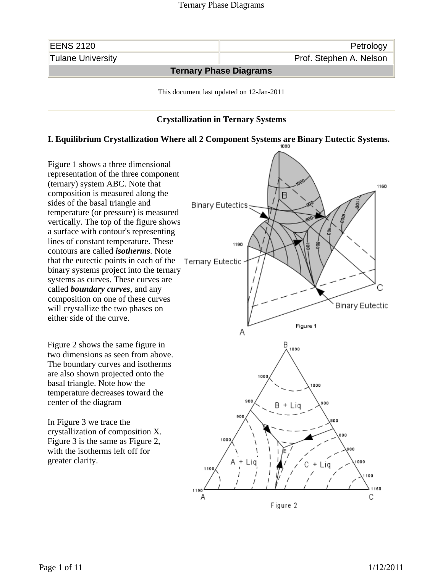

## **Crystallization in Ternary Systems**

## **I. Equilibrium Crystallization Where all 2 Component Systems are Binary Eutectic Systems.**

Figure 1 shows a three dimensional representation of the three component (ternary) system ABC. Note that composition is measured along the sides of the basal triangle and temperature (or pressure) is measured vertically. The top of the figure shows a surface with contour's representing lines of constant temperature. These contours are called *isotherms*. Note that the eutectic points in each of the binary systems project into the ternary systems as curves. These curves are called *boundary curves*, and any composition on one of these curves will crystallize the two phases on either side of the curve.

Figure 2 shows the same figure in two dimensions as seen from above. The boundary curves and isotherms are also shown projected onto the basal triangle. Note how the temperature decreases toward the center of the diagram

In Figure 3 we trace the crystallization of composition X. Figure 3 is the same as Figure 2, with the isotherms left off for greater clarity.

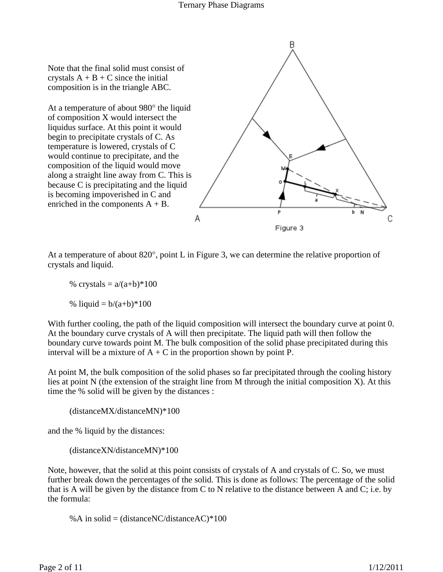Note that the final solid must consist of crystals  $A + B + C$  since the initial composition is in the triangle ABC.

At a temperature of about 980° the liquid of composition X would intersect the liquidus surface. At this point it would begin to precipitate crystals of C. As temperature is lowered, crystals of C would continue to precipitate, and the composition of the liquid would move along a straight line away from C. This is because C is precipitating and the liquid is becoming impoverished in C and enriched in the components  $A + B$ .



At a temperature of about 820°, point L in Figure 3, we can determine the relative proportion of crystals and liquid.

% crystals =  $a/(a+b)*100$ 

% liquid =  $b/(a+b)*100$ 

With further cooling, the path of the liquid composition will intersect the boundary curve at point 0. At the boundary curve crystals of A will then precipitate. The liquid path will then follow the boundary curve towards point M. The bulk composition of the solid phase precipitated during this interval will be a mixture of  $A + C$  in the proportion shown by point P.

At point M, the bulk composition of the solid phases so far precipitated through the cooling history lies at point N (the extension of the straight line from M through the initial composition X). At this time the % solid will be given by the distances :

(distanceMX/distanceMN)\*100

and the % liquid by the distances:

(distanceXN/distanceMN)\*100

Note, however, that the solid at this point consists of crystals of A and crystals of C. So, we must further break down the percentages of the solid. This is done as follows: The percentage of the solid that is A will be given by the distance from C to N relative to the distance between A and C; i.e. by the formula:

%A in solid = (distanceNC/distanceAC) $*100$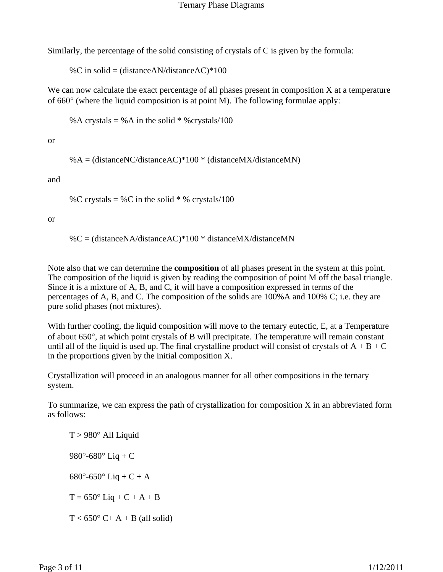Similarly, the percentage of the solid consisting of crystals of C is given by the formula:

%C in solid = (distanceAN/distanceAC)\*100

We can now calculate the exact percentage of all phases present in composition X at a temperature of 660° (where the liquid composition is at point M). The following formulae apply:

%A crystals = %A in the solid  $*$  % crystals/100

or

 $% A = (distanceNC/distanceAC)*100 * (distanceMX/distanceMN)$ 

and

%C crystals = %C in the solid  $*$  % crystals/100

or

%C = (distanceNA/distanceAC)\*100 \* distanceMX/distanceMN

Note also that we can determine the **composition** of all phases present in the system at this point. The composition of the liquid is given by reading the composition of point M off the basal triangle. Since it is a mixture of A, B, and C, it will have a composition expressed in terms of the percentages of A, B, and C. The composition of the solids are 100%A and 100% C; i.e. they are pure solid phases (not mixtures).

With further cooling, the liquid composition will move to the ternary eutectic, E, at a Temperature of about 650°, at which point crystals of B will precipitate. The temperature will remain constant until all of the liquid is used up. The final crystalline product will consist of crystals of  $A + B + C$ in the proportions given by the initial composition X.

Crystallization will proceed in an analogous manner for all other compositions in the ternary system.

To summarize, we can express the path of crystallization for composition X in an abbreviated form as follows:

 $T > 980^\circ$  All Liquid 980 $^{\circ}$ -680 $^{\circ}$  Liq + C 680 $^{\circ}$ -650 $^{\circ}$  Liq + C + A  $T = 650^{\circ}$  Liq + C + A + B  $T < 650^{\circ}$  C+ A + B (all solid)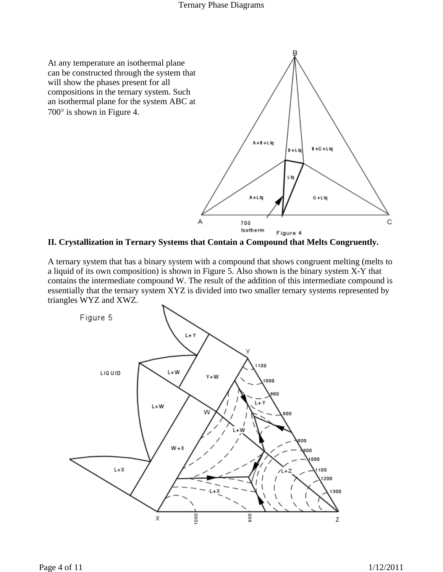

**II. Crystallization in Ternary Systems that Contain a Compound that Melts Congruently.**

A ternary system that has a binary system with a compound that shows congruent melting (melts to a liquid of its own composition) is shown in Figure 5. Also shown is the binary system X-Y that contains the intermediate compound W. The result of the addition of this intermediate compound is essentially that the ternary system XYZ is divided into two smaller ternary systems represented by triangles WYZ and XWZ.

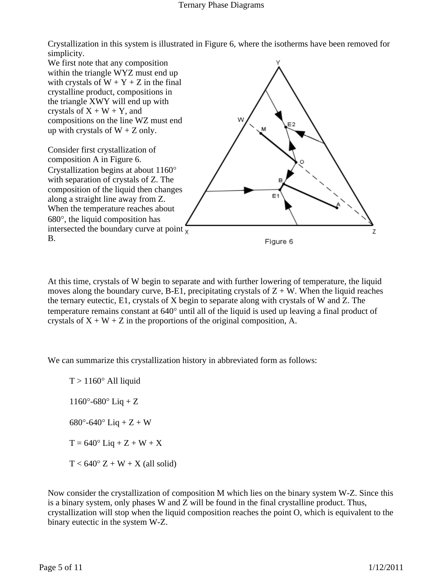#### Ternary Phase Diagrams

Crystallization in this system is illustrated in Figure 6, where the isotherms have been removed for simplicity.



At this time, crystals of W begin to separate and with further lowering of temperature, the liquid moves along the boundary curve, B-E1, precipitating crystals of  $Z + W$ . When the liquid reaches the ternary eutectic, E1, crystals of X begin to separate along with crystals of W and Z. The temperature remains constant at 640° until all of the liquid is used up leaving a final product of crystals of  $X + W + Z$  in the proportions of the original composition, A.

We can summarize this crystallization history in abbreviated form as follows:

 $T > 1160^\circ$  All liquid  $1160^{\circ} - 680^{\circ}$  Liq + Z  $680^{\circ}$ -640° Liq + Z + W  $T = 640^{\circ}$  Liq + Z + W + X  $T < 640^\circ Z + W + X$  (all solid)

Now consider the crystallization of composition M which lies on the binary system W-Z. Since this is a binary system, only phases W and Z will be found in the final crystalline product. Thus, crystallization will stop when the liquid composition reaches the point O, which is equivalent to the binary eutectic in the system W-Z.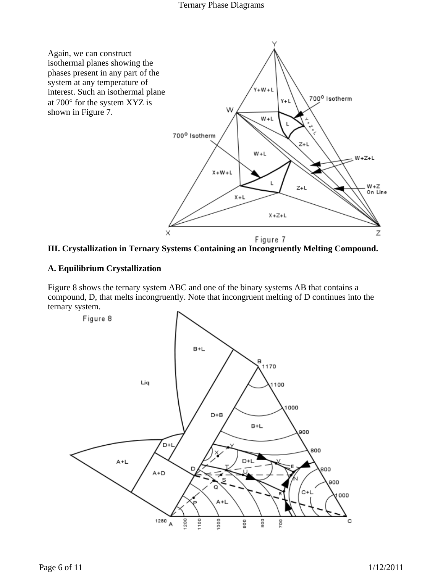#### Ternary Phase Diagrams





## **A. Equilibrium Crystallization**

Figure 8 shows the ternary system ABC and one of the binary systems AB that contains a compound, D, that melts incongruently. Note that incongruent melting of D continues into the ternary system.

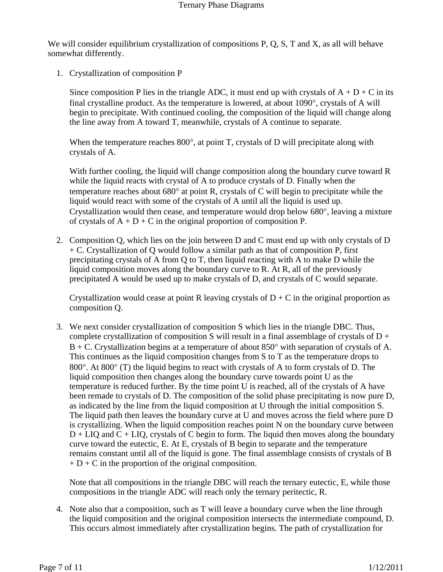We will consider equilibrium crystallization of compositions P, Q, S, T and X, as all will behave somewhat differently.

1. Crystallization of composition P

Since composition P lies in the triangle ADC, it must end up with crystals of  $A + D + C$  in its final crystalline product. As the temperature is lowered, at about 1090°, crystals of A will begin to precipitate. With continued cooling, the composition of the liquid will change along the line away from A toward T, meanwhile, crystals of A continue to separate.

When the temperature reaches 800°, at point T, crystals of D will precipitate along with crystals of A.

With further cooling, the liquid will change composition along the boundary curve toward R while the liquid reacts with crystal of A to produce crystals of D. Finally when the temperature reaches about 680° at point R, crystals of C will begin to precipitate while the liquid would react with some of the crystals of A until all the liquid is used up. Crystallization would then cease, and temperature would drop below 680°, leaving a mixture of crystals of  $A + D + C$  in the original proportion of composition P.

2. Composition Q, which lies on the join between D and C must end up with only crystals of D + C. Crystallization of Q would follow a similar path as that of composition P, first precipitating crystals of A from Q to T, then liquid reacting with A to make D while the liquid composition moves along the boundary curve to R. At R, all of the previously precipitated A would be used up to make crystals of D, and crystals of C would separate.

Crystallization would cease at point R leaving crystals of  $D + C$  in the original proportion as composition Q.

3. We next consider crystallization of composition S which lies in the triangle DBC. Thus, complete crystallization of composition S will result in a final assemblage of crystals of  $D +$  $B + C$ . Crystallization begins at a temperature of about 850 $\degree$  with separation of crystals of A. This continues as the liquid composition changes from S to T as the temperature drops to 800°. At 800° (T) the liquid begins to react with crystals of A to form crystals of D. The liquid composition then changes along the boundary curve towards point U as the temperature is reduced further. By the time point U is reached, all of the crystals of A have been remade to crystals of D. The composition of the solid phase precipitating is now pure D, as indicated by the line from the liquid composition at U through the initial composition S. The liquid path then leaves the boundary curve at U and moves across the field where pure D is crystallizing. When the liquid composition reaches point N on the boundary curve between  $D + LIQ$  and  $C + LIQ$ , crystals of C begin to form. The liquid then moves along the boundary curve toward the eutectic, E. At E, crystals of B begin to separate and the temperature remains constant until all of the liquid is gone. The final assemblage consists of crystals of B  $+ D + C$  in the proportion of the original composition.

Note that all compositions in the triangle DBC will reach the ternary eutectic, E, while those compositions in the triangle ADC will reach only the ternary peritectic, R.

4. Note also that a composition, such as T will leave a boundary curve when the line through the liquid composition and the original composition intersects the intermediate compound, D. This occurs almost immediately after crystallization begins. The path of crystallization for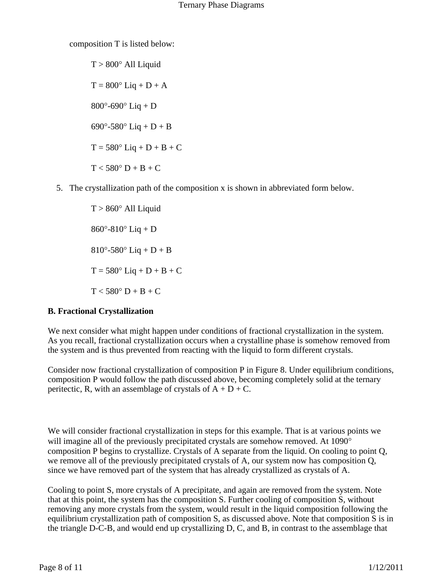composition T is listed below:

 $T > 800^\circ$  All Liquid  $T = 800^{\circ}$  Liq + D + A  $800^{\circ}$ -690° Liq + D 690 $^{\circ}$ -580 $^{\circ}$  Liq + D + B  $T = 580^{\circ}$  Liq + D + B + C  $T < 580^{\circ} D + B + C$ 

5. The crystallization path of the composition x is shown in abbreviated form below.

 $T > 860^\circ$  All Liquid  $860^{\circ} - 810^{\circ}$  Liq + D  $810^{\circ}$ -580° Liq + D + B  $T = 580^{\circ}$  Liq + D + B + C  $T < 580^{\circ} D + B + C$ 

# **B. Fractional Crystallization**

We next consider what might happen under conditions of fractional crystallization in the system. As you recall, fractional crystallization occurs when a crystalline phase is somehow removed from the system and is thus prevented from reacting with the liquid to form different crystals.

Consider now fractional crystallization of composition P in Figure 8. Under equilibrium conditions, composition P would follow the path discussed above, becoming completely solid at the ternary peritectic, R, with an assemblage of crystals of  $A + D + C$ .

We will consider fractional crystallization in steps for this example. That is at various points we will imagine all of the previously precipitated crystals are somehow removed. At 1090<sup>°</sup> composition P begins to crystallize. Crystals of A separate from the liquid. On cooling to point Q, we remove all of the previously precipitated crystals of A, our system now has composition Q, since we have removed part of the system that has already crystallized as crystals of A.

Cooling to point S, more crystals of A precipitate, and again are removed from the system. Note that at this point, the system has the composition S. Further cooling of composition S, without removing any more crystals from the system, would result in the liquid composition following the equilibrium crystallization path of composition S, as discussed above. Note that composition S is in the triangle D-C-B, and would end up crystallizing D, C, and B, in contrast to the assemblage that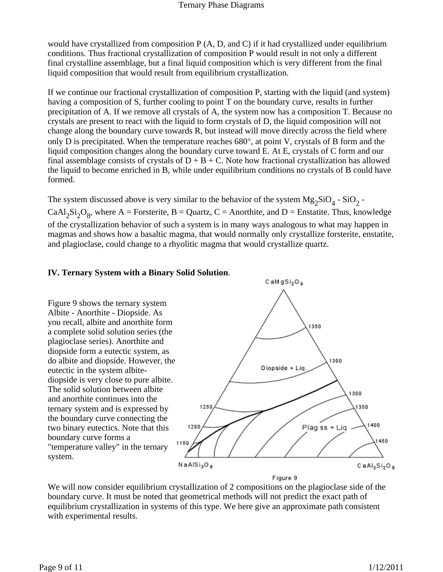would have crystallized from composition P (A, D, and C) if it had crystallized under equilibrium conditions. Thus fractional crystallization of composition P would result in not only a different final crystalline assemblage, but a final liquid composition which is very different from the final liquid composition that would result from equilibrium crystallization.

If we continue our fractional crystallization of composition P, starting with the liquid (and system) having a composition of S, further cooling to point T on the boundary curve, results in further precipitation of A. If we remove all crystals of A, the system now has a composition T. Because no crystals are present to react with the liquid to form crystals of D, the liquid composition will not change along the boundary curve towards R, but instead will move directly across the field where only D is precipitated. When the temperature reaches 680°, at point V, crystals of B form and the liquid composition changes along the boundary curve toward E. At E, crystals of C form and our final assemblage consists of crystals of  $D + B + C$ . Note how fractional crystallization has allowed the liquid to become enriched in B, while under equilibrium conditions no crystals of B could have formed.

The system discussed above is very similar to the behavior of the system  $Mg_2SiO_4$  -  $SiO_2$  -CaAl<sub>2</sub>Si<sub>2</sub>O<sub>8</sub>, where A = Forsterite, B = Quartz, C = Anorthite, and D = Enstatite. Thus, knowledge of the crystallization behavior of such a system is in many ways analogous to what may happen in magmas and shows how a basaltic magma, that would normally only crystallize forsterite, enstatite, and plagioclase, could change to a rhyolitic magma that would crystallize quartz.

 $C$  aMgSi<sub>2</sub>O<sub>6</sub>

#### **IV. Ternary System with a Binary Solid Solution**.

Figure 9 shows the ternary system Albite - Anorthite - Diopside. As you recall, albite and anorthite form 1350 a complete solid solution series (the plagioclase series). Anorthite and diopside form a eutectic system, as do albite and diopside. However, the 1300 Diopside + Lig eutectic in the system albitediopside is very close to pure albite. The solid solution between albite 1300 and anorthite continues into the 1350 1250 ternary system and is expressed by the boundary curve connecting the 1400 1200 Plag ss + Liq two binary eutectics. Note that this boundary curve forms a 450 1150 "temperature valley" in the ternary system.  $N$ aAl $Si<sub>3</sub>O<sub>8</sub>$  $CaAl<sub>2</sub>Si<sub>2</sub>O<sub>8</sub>$ Figure 9

We will now consider equilibrium crystallization of 2 compositions on the plagioclase side of the boundary curve. It must be noted that geometrical methods will not predict the exact path of equilibrium crystallization in systems of this type. We here give an approximate path consistent with experimental results.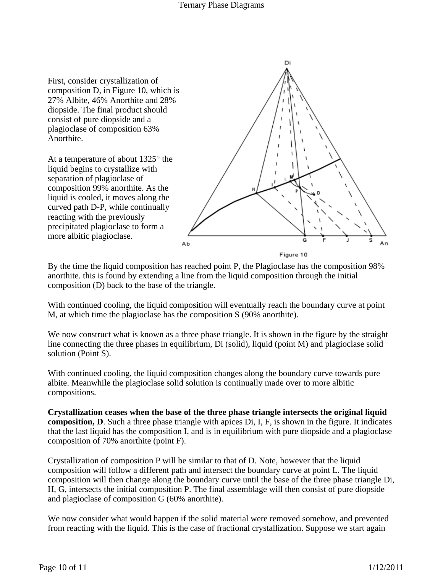Di First, consider crystallization of composition D, in Figure 10, which is 27% Albite, 46% Anorthite and 28% diopside. The final product should consist of pure diopside and a plagioclase of composition 63% Anorthite. At a temperature of about 1325° the liquid begins to crystallize with separation of plagioclase of composition 99% anorthite. As the liquid is cooled, it moves along the curved path D-P, while continually reacting with the previously precipitated plagioclase to form a more albitic plagioclase. Ab Figure 10

By the time the liquid composition has reached point P, the Plagioclase has the composition 98% anorthite. this is found by extending a line from the liquid composition through the initial composition (D) back to the base of the triangle.

With continued cooling, the liquid composition will eventually reach the boundary curve at point M, at which time the plagioclase has the composition S (90% anorthite).

We now construct what is known as a three phase triangle. It is shown in the figure by the straight line connecting the three phases in equilibrium, Di (solid), liquid (point M) and plagioclase solid solution (Point S).

With continued cooling, the liquid composition changes along the boundary curve towards pure albite. Meanwhile the plagioclase solid solution is continually made over to more albitic compositions.

**Crystallization ceases when the base of the three phase triangle intersects the original liquid composition, D**. Such a three phase triangle with apices Di, I, F, is shown in the figure. It indicates that the last liquid has the composition I, and is in equilibrium with pure diopside and a plagioclase composition of 70% anorthite (point F).

Crystallization of composition P will be similar to that of D. Note, however that the liquid composition will follow a different path and intersect the boundary curve at point L. The liquid composition will then change along the boundary curve until the base of the three phase triangle Di, H, G, intersects the initial composition P. The final assemblage will then consist of pure diopside and plagioclase of composition G (60% anorthite).

We now consider what would happen if the solid material were removed somehow, and prevented from reacting with the liquid. This is the case of fractional crystallization. Suppose we start again